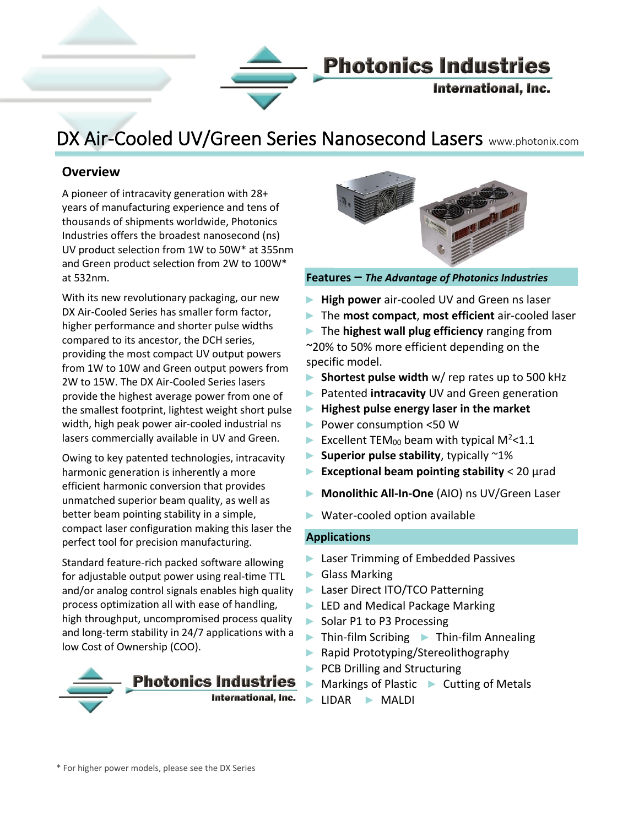

## DX Air-Cooled UV/Green Series Nanosecond Lasers www.photonix.com

#### **Overview**

Į

A pioneer of intracavity generation with 28+ years of manufacturing experience and tens of thousands of shipments worldwide, Photonics Industries offers the broadest nanosecond (ns) UV product selection from 1W to 50W\* at 355nm and Green product selection from 2W to 100W\* at 532nm.

With its new revolutionary packaging, our new DX Air-Cooled Series has smaller form factor, higher performance and shorter pulse widths compared to its ancestor, the DCH series, providing the most compact UV output powers from 1W to 10W and Green output powers from 2W to 15W. The DX Air-Cooled Series lasers provide the highest average power from one of the smallest footprint, lightest weight short pulse width, high peak power air-cooled industrial ns lasers commercially available in UV and Green.

Owing to key patented technologies, intracavity harmonic generation is inherently a more efficient harmonic conversion that provides unmatched superior beam quality, as well as better beam pointing stability in a simple, compact laser configuration making this laser the perfect tool for precision manufacturing.

Standard feature-rich packed software allowing for adjustable output power using real-time TTL and/or analog control signals enables high quality process optimization all with ease of handling, high throughput, uncompromised process quality and long-term stability in 24/7 applications with a low Cost of Ownership (COO).





**Features –** *The Advantage of Photonics Industries*

- ► **High power** air-cooled UV and Green ns laser
- ► The **most compact**, **most efficient** air-cooled laser
- ► The **highest wall plug efficiency** ranging from ~20% to 50% more efficient depending on the
- ► **Shortest pulse width** w/ rep rates up to 500 kHz
- ► Patented **intracavity** UV and Green generation
- ► **Highest pulse energy laser in the market**
- ► Power consumption <50 W
- Excellent TEM<sub>00</sub> beam with typical M<sup>2</sup><1.1
- ► **Superior pulse stability**, typically ~1%
- ► **Exceptional beam pointing stability** < 20 μrad
- ► **Monolithic All-In-One** (AIO) ns UV/Green Laser
- ► Water-cooled option available

#### **Applications**

specific model.

- ► Laser Trimming of Embedded Passives
- ► Glass Marking
- ► Laser Direct ITO/TCO Patterning
- ► LED and Medical Package Marking
- ► Solar P1 to P3 Processing
- ► Thin-film Scribing ► Thin-film Annealing
- ► Rapid Prototyping/Stereolithography
- ► PCB Drilling and Structuring
- ► Markings of Plastic ► Cutting of Metals
- ► LIDAR ► MALDI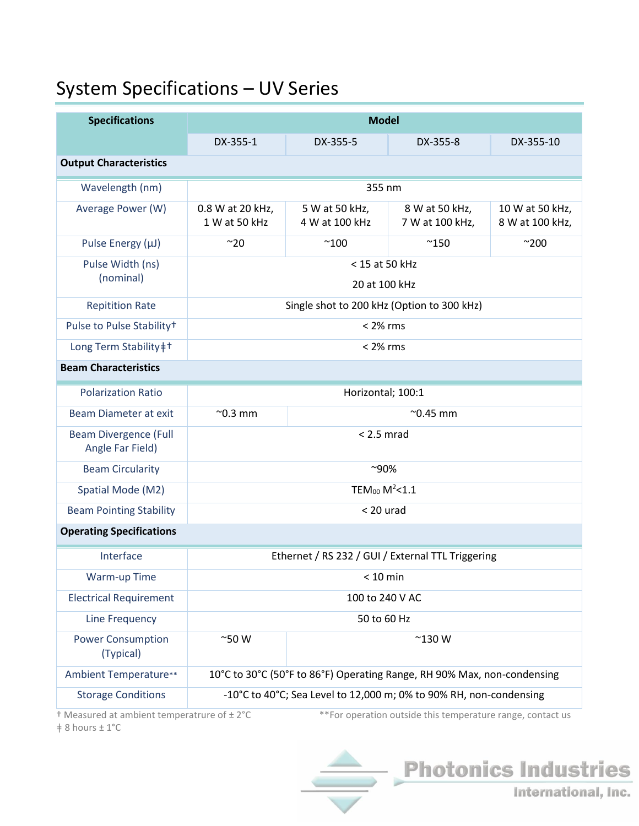# System Specifications – UV Series

| DX-355-1                                                                | DX-355-5                         | DX-355-8                          | DX-355-10                          |  |  |  |
|-------------------------------------------------------------------------|----------------------------------|-----------------------------------|------------------------------------|--|--|--|
| <b>Output Characteristics</b>                                           |                                  |                                   |                                    |  |  |  |
| 355 nm                                                                  |                                  |                                   |                                    |  |  |  |
| 0.8 W at 20 kHz,<br>1 W at 50 kHz                                       | 5 W at 50 kHz,<br>4 W at 100 kHz | 8 W at 50 kHz,<br>7 W at 100 kHz, | 10 W at 50 kHz,<br>8 W at 100 kHz, |  |  |  |
| ~20                                                                     | $^{\sim}100$                     | $^{\sim}$ 150                     | $^{\sim}200$                       |  |  |  |
| < 15 at 50 kHz<br>20 at 100 kHz                                         |                                  |                                   |                                    |  |  |  |
| Single shot to 200 kHz (Option to 300 kHz)                              |                                  |                                   |                                    |  |  |  |
| $< 2\%$ rms                                                             |                                  |                                   |                                    |  |  |  |
| $< 2\%$ rms                                                             |                                  |                                   |                                    |  |  |  |
|                                                                         |                                  |                                   |                                    |  |  |  |
| Horizontal; 100:1                                                       |                                  |                                   |                                    |  |  |  |
| $^{\sim}$ 0.3 mm<br>$^{\sim}$ 0.45 mm                                   |                                  |                                   |                                    |  |  |  |
| $< 2.5$ mrad                                                            |                                  |                                   |                                    |  |  |  |
| $^{\sim}90\%$                                                           |                                  |                                   |                                    |  |  |  |
| TEM <sub>00</sub> $M^2$ <1.1                                            |                                  |                                   |                                    |  |  |  |
| $< 20$ urad                                                             |                                  |                                   |                                    |  |  |  |
| <b>Operating Specifications</b>                                         |                                  |                                   |                                    |  |  |  |
| Ethernet / RS 232 / GUI / External TTL Triggering                       |                                  |                                   |                                    |  |  |  |
| $< 10$ min                                                              |                                  |                                   |                                    |  |  |  |
| 100 to 240 V AC                                                         |                                  |                                   |                                    |  |  |  |
| 50 to 60 Hz                                                             |                                  |                                   |                                    |  |  |  |
| $^{\sim}50$ W<br>$^{\sim}$ 130 W                                        |                                  |                                   |                                    |  |  |  |
| 10°C to 30°C (50°F to 86°F) Operating Range, RH 90% Max, non-condensing |                                  |                                   |                                    |  |  |  |
| -10°C to 40°C; Sea Level to 12,000 m; 0% to 90% RH, non-condensing      |                                  |                                   |                                    |  |  |  |
|                                                                         |                                  |                                   | <b>Model</b>                       |  |  |  |

ǂ 8 hours ± 1°C

† Measured at ambient temperatrure of ± 2°C \*\*For operation outside this temperature range, contact us

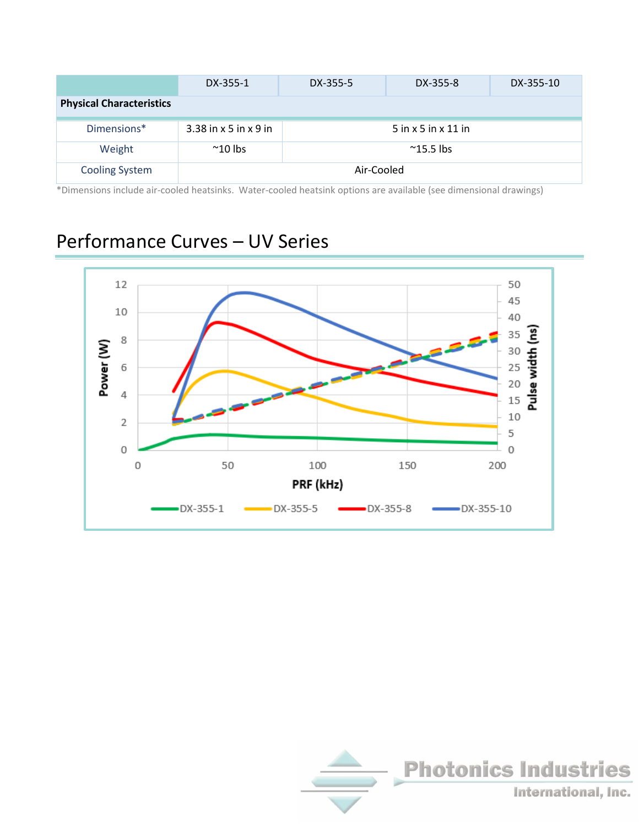|                                 | DX-355-1                | DX-355-5           | DX-355-8              | DX-355-10 |  |  |
|---------------------------------|-------------------------|--------------------|-----------------------|-----------|--|--|
| <b>Physical Characteristics</b> |                         |                    |                       |           |  |  |
| Dimensions*                     | $3.38$ in x 5 in x 9 in |                    | $5$ in x 5 in x 11 in |           |  |  |
| Weight                          | $^{\sim}$ 10 lbs        | $^{\sim}$ 15.5 lbs |                       |           |  |  |
| <b>Cooling System</b>           | Air-Cooled              |                    |                       |           |  |  |

\*Dimensions include air-cooled heatsinks. Water-cooled heatsink options are available (see dimensional drawings)

## Performance Curves – UV Series



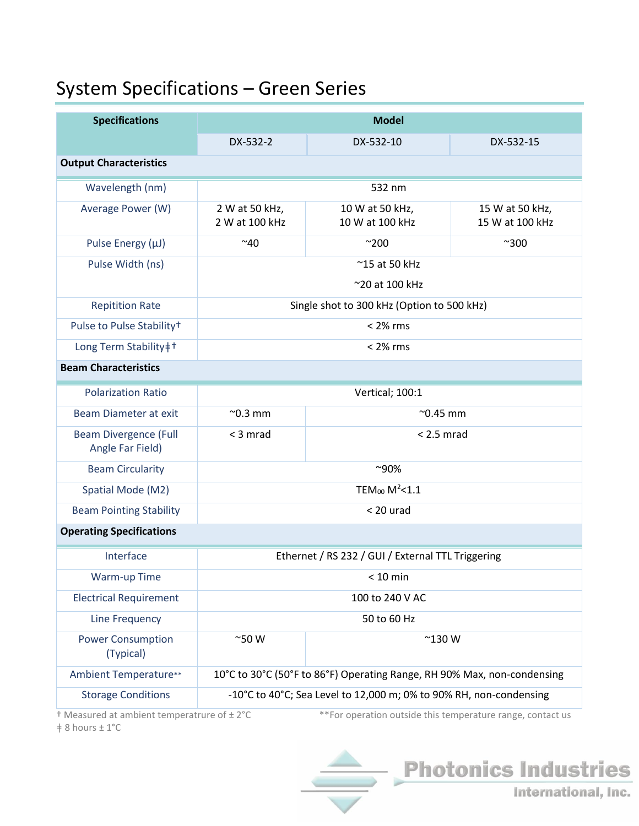# System Specifications – Green Series

| <b>Specifications</b>                            | <b>Model</b>                                                            |                                    |                                    |  |  |  |  |
|--------------------------------------------------|-------------------------------------------------------------------------|------------------------------------|------------------------------------|--|--|--|--|
|                                                  | DX-532-2                                                                | DX-532-10                          | DX-532-15                          |  |  |  |  |
| <b>Output Characteristics</b>                    |                                                                         |                                    |                                    |  |  |  |  |
| Wavelength (nm)                                  | 532 nm                                                                  |                                    |                                    |  |  |  |  |
| Average Power (W)                                | 2 W at 50 kHz,<br>2 W at 100 kHz                                        | 10 W at 50 kHz,<br>10 W at 100 kHz | 15 W at 50 kHz,<br>15 W at 100 kHz |  |  |  |  |
| Pulse Energy (µJ)                                | $^{\sim}40$                                                             | $^{\sim}200$                       | $^{\sim}300$                       |  |  |  |  |
| Pulse Width (ns)                                 | ~15 at 50 kHz                                                           |                                    |                                    |  |  |  |  |
|                                                  | ~20 at 100 kHz                                                          |                                    |                                    |  |  |  |  |
| <b>Repitition Rate</b>                           | Single shot to 300 kHz (Option to 500 kHz)                              |                                    |                                    |  |  |  |  |
| Pulse to Pulse Stability <sup>+</sup>            | $< 2\%$ rms                                                             |                                    |                                    |  |  |  |  |
| Long Term Stability‡ <sup>+</sup>                | $< 2\%$ rms                                                             |                                    |                                    |  |  |  |  |
| <b>Beam Characteristics</b>                      |                                                                         |                                    |                                    |  |  |  |  |
| <b>Polarization Ratio</b>                        | Vertical; 100:1                                                         |                                    |                                    |  |  |  |  |
| Beam Diameter at exit                            | $^{\sim}$ 0.3 mm<br>$^{\sim}$ 0.45 mm                                   |                                    |                                    |  |  |  |  |
| <b>Beam Divergence (Full</b><br>Angle Far Field) | $<$ 3 mrad                                                              | $< 2.5$ mrad                       |                                    |  |  |  |  |
| <b>Beam Circularity</b>                          | $^{\sim}90\%$                                                           |                                    |                                    |  |  |  |  |
| Spatial Mode (M2)                                | TEM <sub>00</sub> $M^2$ < 1.1                                           |                                    |                                    |  |  |  |  |
| <b>Beam Pointing Stability</b>                   | $< 20$ urad                                                             |                                    |                                    |  |  |  |  |
| <b>Operating Specifications</b>                  |                                                                         |                                    |                                    |  |  |  |  |
| Interface                                        | Ethernet / RS 232 / GUI / External TTL Triggering                       |                                    |                                    |  |  |  |  |
| <b>Warm-up Time</b>                              | $< 10$ min                                                              |                                    |                                    |  |  |  |  |
| <b>Electrical Requirement</b>                    | 100 to 240 V AC                                                         |                                    |                                    |  |  |  |  |
| Line Frequency                                   | 50 to 60 Hz                                                             |                                    |                                    |  |  |  |  |
| <b>Power Consumption</b><br>(Typical)            | $^{\sim}$ 50 W                                                          | $^{\sim}$ 130 W                    |                                    |  |  |  |  |
| Ambient Temperature**                            | 10°C to 30°C (50°F to 86°F) Operating Range, RH 90% Max, non-condensing |                                    |                                    |  |  |  |  |
| <b>Storage Conditions</b>                        | -10°C to 40°C; Sea Level to 12,000 m; 0% to 90% RH, non-condensing      |                                    |                                    |  |  |  |  |

ǂ 8 hours ± 1°C

 $\dagger$  Measured at ambient temperatrure of  $\pm 2^{\circ}$ C  $\phantom{1}$  \*  $\phantom{1}^*$  For operation outside this temperature range, contact us

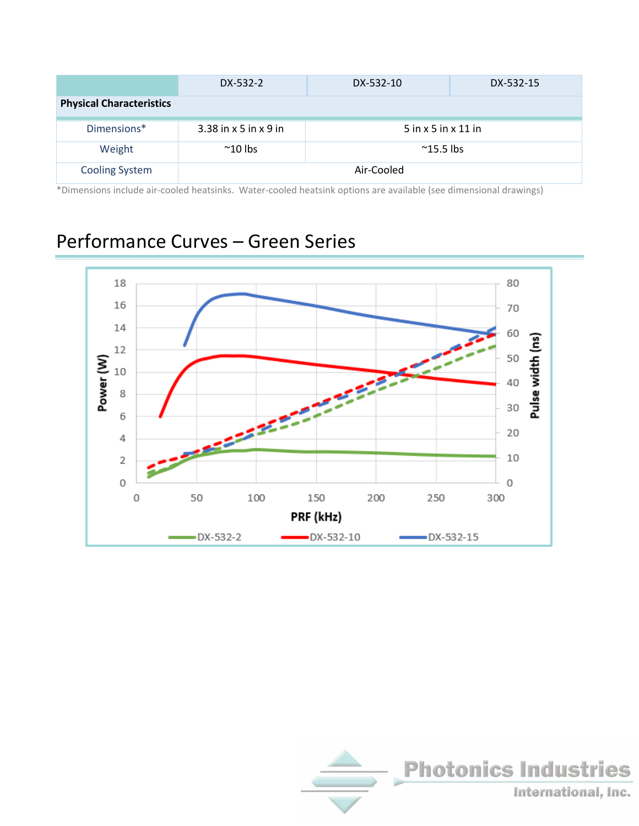|                                 | DX-532-2                | DX-532-10                 | DX-532-15 |
|---------------------------------|-------------------------|---------------------------|-----------|
| <b>Physical Characteristics</b> |                         |                           |           |
| Dimensions*                     | $3.38$ in x 5 in x 9 in | $5$ in x $5$ in x $11$ in |           |
| Weight                          | $^{\sim}$ 10 lbs        | $^{\sim}$ 15.5 lbs        |           |
| <b>Cooling System</b>           | Air-Cooled              |                           |           |

\*Dimensions include air-cooled heatsinks. Water-cooled heatsink options are available (see dimensional drawings)

### Performance Curves – Green Series